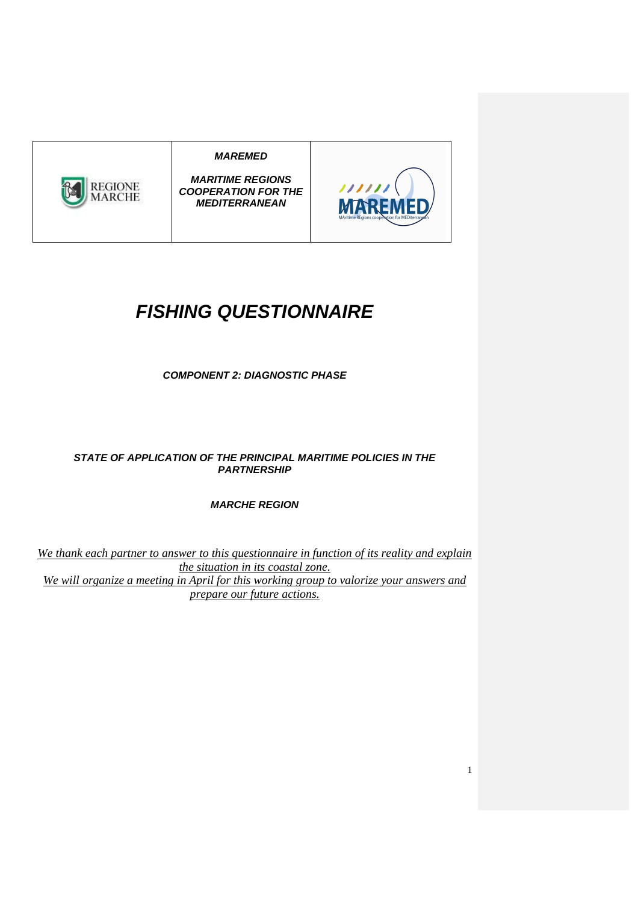## **MAREMED**



**MARITIME REGIONS COOPERATION FOR THE MEDITERRANEAN** 



1

## **FISHING QUESTIONNAIRE**

**COMPONENT 2: DIAGNOSTIC PHASE** 

**STATE OF APPLICATION OF THE PRINCIPAL MARITIME POLICIES IN THE PARTNERSHIP** 

**MARCHE REGION** 

*We thank each partner to answer to this questionnaire in function of its reality and explain the situation in its coastal zone. We will organize a meeting in April for this working group to valorize your answers and prepare our future actions.*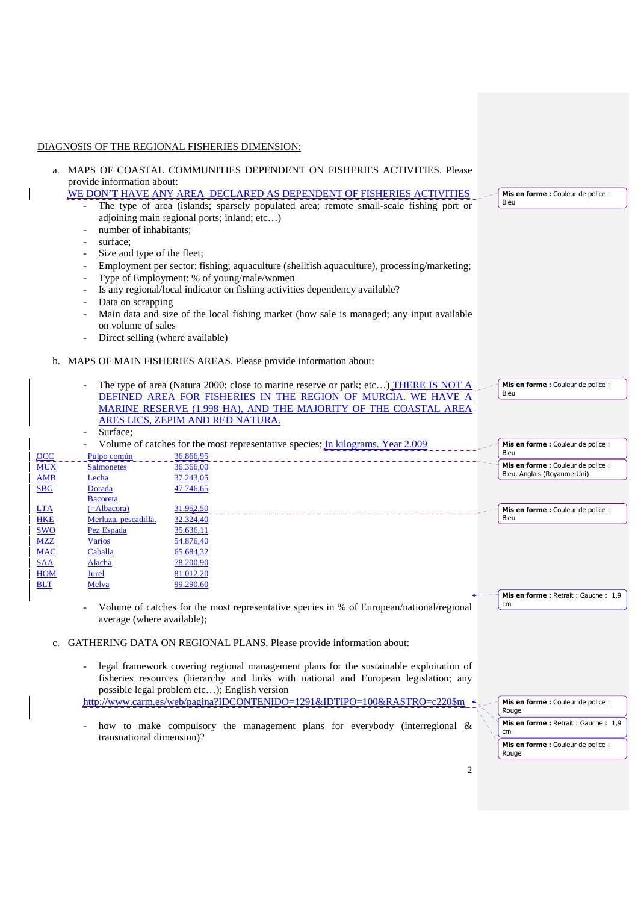## DIAGNOSIS OF THE REGIONAL FISHERIES DIMENSION:

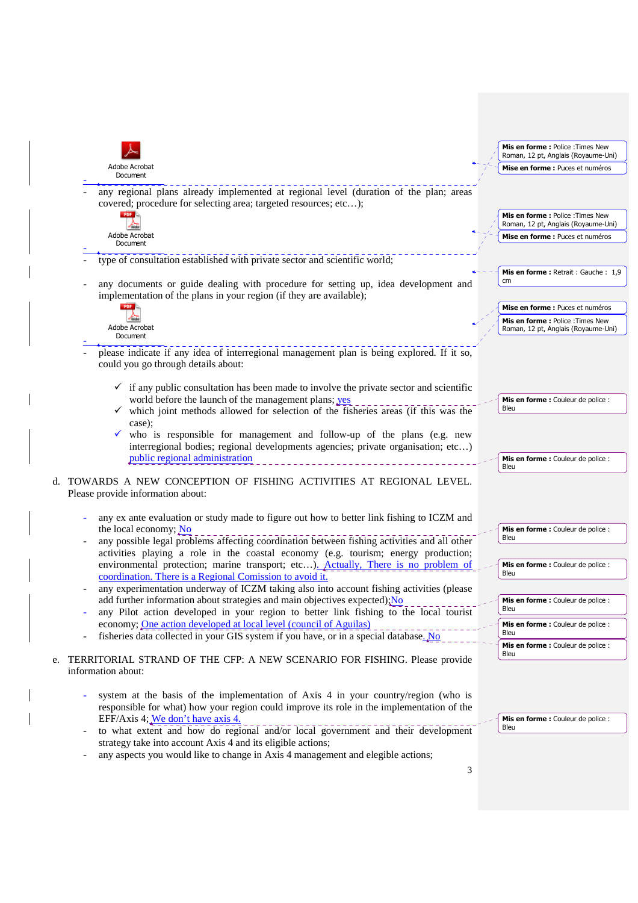|    |                          |                                                                                                                                                                                 | Mis en forme: Police: Times New<br>Roman, 12 pt, Anglais (Royaume-Uni)   |
|----|--------------------------|---------------------------------------------------------------------------------------------------------------------------------------------------------------------------------|--------------------------------------------------------------------------|
|    |                          | Adobe Acrobat<br>Document                                                                                                                                                       | Mise en forme : Puces et numéros                                         |
|    |                          | any regional plans already implemented at regional level (duration of the plan; areas<br>covered; procedure for selecting area; targeted resources; etc);                       |                                                                          |
|    |                          |                                                                                                                                                                                 | Mis en forme : Police : Times New<br>Roman, 12 pt, Anglais (Royaume-Uni) |
|    |                          | Adobe Acrobat<br>Document                                                                                                                                                       | Mise en forme : Puces et numéros                                         |
|    |                          | type of consultation established with private sector and scientific world;                                                                                                      |                                                                          |
|    |                          | any documents or guide dealing with procedure for setting up, idea development and<br>implementation of the plans in your region (if they are available);                       | Mis en forme: Retrait: Gauche: 1,9<br>cm                                 |
|    |                          | PDF <b>B</b>                                                                                                                                                                    | Mise en forme : Puces et numéros                                         |
|    |                          | Adobe Acrobat<br>Document                                                                                                                                                       | Mis en forme : Police : Times New<br>Roman, 12 pt, Anglais (Royaume-Uni) |
|    |                          | please indicate if any idea of interregional management plan is being explored. If it so,<br>could you go through details about:                                                |                                                                          |
|    |                          | $\checkmark$ if any public consultation has been made to involve the private sector and scientific                                                                              |                                                                          |
|    |                          | world before the launch of the management plans; yes<br>$\checkmark$ which joint methods allowed for selection of the fisheries areas (if this was the                          | Mis en forme : Couleur de police :<br>Bleu                               |
|    |                          | case);<br>$\checkmark$ who is responsible for management and follow-up of the plans (e.g. new                                                                                   |                                                                          |
|    |                          | interregional bodies; regional developments agencies; private organisation; etc)                                                                                                |                                                                          |
|    |                          | public regional administration                                                                                                                                                  | Mis en forme : Couleur de police :<br>Bleu                               |
|    |                          | d. TOWARDS A NEW CONCEPTION OF FISHING ACTIVITIES AT REGIONAL LEVEL.<br>Please provide information about:                                                                       |                                                                          |
|    |                          | any ex ante evaluation or study made to figure out how to better link fishing to ICZM and                                                                                       |                                                                          |
|    |                          | the local economy; No<br>any possible legal problems affecting coordination between fishing activities and all other                                                            | Mis en forme : Couleur de police :<br>Bleu                               |
|    |                          | activities playing a role in the coastal economy (e.g. tourism; energy production;                                                                                              |                                                                          |
|    |                          | environmental protection; marine transport; etc). Actually, There is no problem of<br>coordination. There is a Regional Comission to avoid it.                                  | Mis en forme : Couleur de police :<br>Bleu                               |
|    |                          | any experimentation underway of ICZM taking also into account fishing activities (please<br>add further information about strategies and main objectives expected); No          | Mis en forme : Couleur de police :                                       |
|    |                          | any Pilot action developed in your region to better link fishing to the local tourist                                                                                           | Bleu                                                                     |
|    |                          | economy; One action developed at local level (council of Aguilas)<br>fisheries data collected in your GIS system if you have, or in a special database. No                      | Mis en forme : Couleur de police :<br>Bleu                               |
|    |                          |                                                                                                                                                                                 | <b>Mis en forme :</b> Couleur de police :<br>Bleu                        |
| e. |                          | TERRITORIAL STRAND OF THE CFP: A NEW SCENARIO FOR FISHING. Please provide<br>information about:                                                                                 |                                                                          |
|    |                          |                                                                                                                                                                                 |                                                                          |
|    |                          | system at the basis of the implementation of Axis 4 in your country/region (who is<br>responsible for what) how your region could improve its role in the implementation of the |                                                                          |
|    |                          | EFF/Axis 4; We don't have axis 4.                                                                                                                                               | Mis en forme : Couleur de police :<br>Bleu                               |
|    | $\overline{\phantom{a}}$ | to what extent and how do regional and/or local government and their development<br>strategy take into account Axis 4 and its eligible actions;                                 |                                                                          |
|    |                          | any aspects you would like to change in Axis 4 management and elegible actions;                                                                                                 |                                                                          |
|    |                          | 3                                                                                                                                                                               |                                                                          |